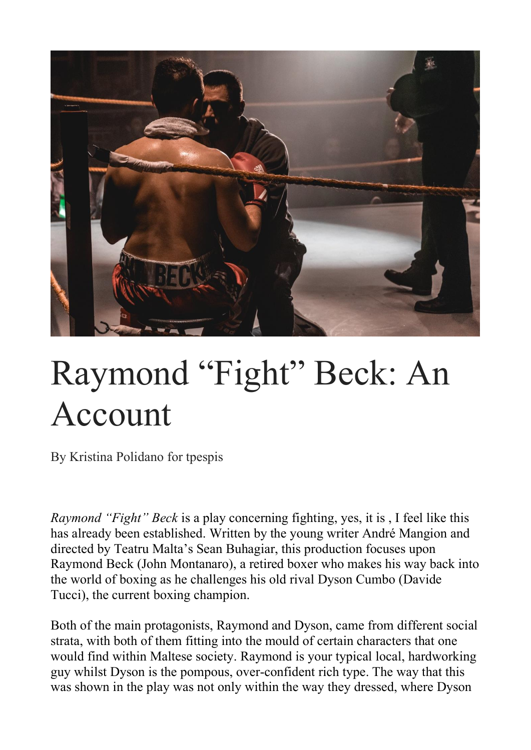

## Raymond "Fight" Beck: An Account

By Kristina Polidano for tpespis

*Raymond "Fight" Beck* is a play concerning fighting, yes, it is , I feel like this has already been established. Written by the young writer André Mangion and directed by Teatru Malta's Sean Buhagiar, this production focuses upon Raymond Beck (John Montanaro), a retired boxer who makes his way back into the world of boxing as he challenges his old rival Dyson Cumbo (Davide Tucci), the current boxing champion.

Both of the main protagonists, Raymond and Dyson, came from different social strata, with both of them fitting into the mould of certain characters that one would find within Maltese society. Raymond is your typical local, hardworking guy whilst Dyson is the pompous, over-confident rich type. The way that this was shown in the play was not only within the way they dressed, where Dyson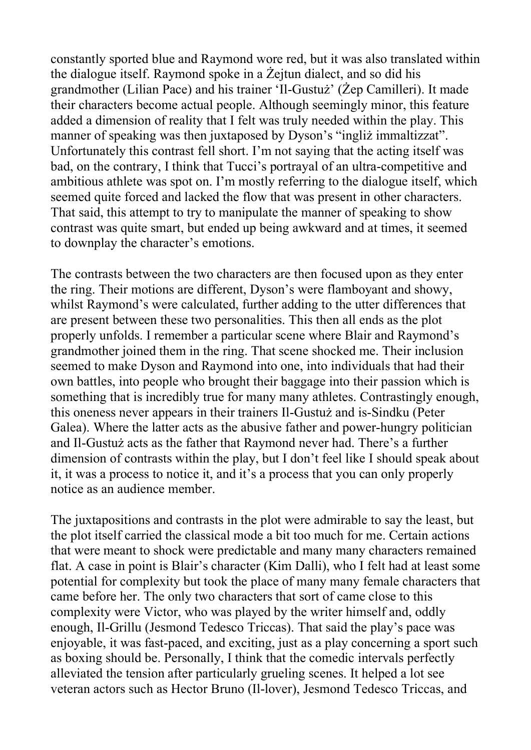constantly sported blue and Raymond wore red, but it was also translated within the dialogue itself. Raymond spoke in a Żejtun dialect, and so did his grandmother (Lilian Pace) and his trainer 'Il-Gustuż' (Żep Camilleri). It made their characters become actual people. Although seemingly minor, this feature added a dimension of reality that I felt was truly needed within the play. This manner of speaking was then juxtaposed by Dyson's "ingliż immaltizzat". Unfortunately this contrast fell short. I'm not saying that the acting itself was bad, on the contrary, I think that Tucci's portrayal of an ultra-competitive and ambitious athlete was spot on. I'm mostly referring to the dialogue itself, which seemed quite forced and lacked the flow that was present in other characters. That said, this attempt to try to manipulate the manner of speaking to show contrast was quite smart, but ended up being awkward and at times, it seemed to downplay the character's emotions.

The contrasts between the two characters are then focused upon as they enter the ring. Their motions are different, Dyson's were flamboyant and showy, whilst Raymond's were calculated, further adding to the utter differences that are present between these two personalities. This then all ends as the plot properly unfolds. I remember a particular scene where Blair and Raymond's grandmother joined them in the ring. That scene shocked me. Their inclusion seemed to make Dyson and Raymond into one, into individuals that had their own battles, into people who brought their baggage into their passion which is something that is incredibly true for many many athletes. Contrastingly enough, this oneness never appears in their trainers Il-Gustuż and is-Sindku (Peter Galea). Where the latter acts as the abusive father and power-hungry politician and Il-Gustuż acts as the father that Raymond never had. There's a further dimension of contrasts within the play, but I don't feel like I should speak about it, it was a process to notice it, and it's a process that you can only properly notice as an audience member.

The juxtapositions and contrasts in the plot were admirable to say the least, but the plot itself carried the classical mode a bit too much for me. Certain actions that were meant to shock were predictable and many many characters remained flat. A case in point is Blair's character (Kim Dalli), who I felt had at least some potential for complexity but took the place of many many female characters that came before her. The only two characters that sort of came close to this complexity were Victor, who was played by the writer himself and, oddly enough, Il-Grillu (Jesmond Tedesco Triccas). That said the play's pace was enjoyable, it was fast-paced, and exciting, just as a play concerning a sport such as boxing should be. Personally, I think that the comedic intervals perfectly alleviated the tension after particularly grueling scenes. It helped a lot see veteran actors such as Hector Bruno (Il-lover), Jesmond Tedesco Triccas, and